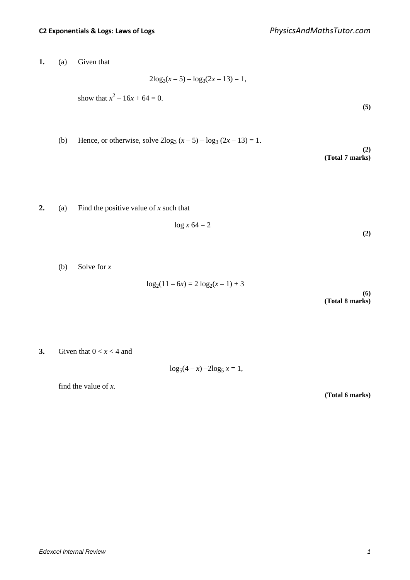**1.** (a) Given that

$$
2\log_3(x-5) - \log_3(2x-13) = 1,
$$

show that 
$$
x^2 - 16x + 64 = 0
$$
.

(b) Hence, or otherwise, solve 
$$
2\log_3(x-5) - \log_3(2x-13) = 1
$$
.

**(2) (Total 7 marks)**

**(5)**

# **2.** (a) Find the positive value of *x* such that

$$
\log x 64 = 2 \tag{2}
$$

(b) Solve for *x*

 $log_2(11 - 6x) = 2 log_2(x - 1) + 3$ 

**(6) (Total 8 marks)**

**3.** Given that  $0 < x < 4$  and

 $\log_5(4 - x) - 2\log_5 x = 1$ ,

find the value of *x*.

**(Total 6 marks)**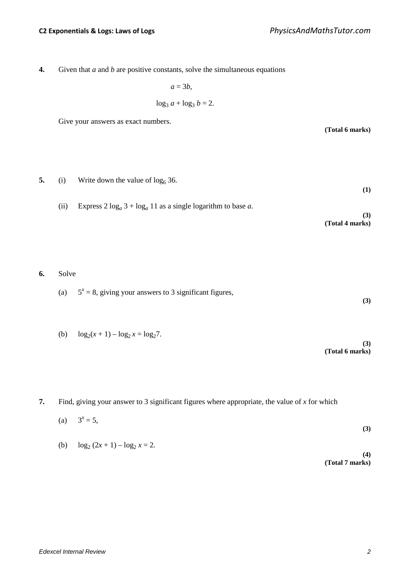**(Total 6 marks)**

**4.** Given that *a* and *b* are positive constants, solve the simultaneous equations

$$
a = 3b,
$$
  

$$
\log_3 a + \log_3 b = 2.
$$

Give your answers as exact numbers.

**5.** (i) Write down the value of  $\log_6 36$ . **(1)** (ii) Express  $2 \log_a 3 + \log_a 11$  as a single logarithm to base *a*. **(3) (Total 4 marks)**

**6.** Solve

- (a)  $5^x = 8$ , giving your answers to 3 significant figures, **(3)**
- (b)  $\log_2(x+1) \log_2 x = \log_2 7$ .

- **7.** Find, giving your answer to 3 significant figures where appropriate, the value of *x* for which
	- (a)  $3^x = 5$ , **(3)** (b)  $\log_2 (2x + 1) - \log_2 x = 2$ . **(4) (Total 7 marks)**

**(3)**

**(Total 6 marks)**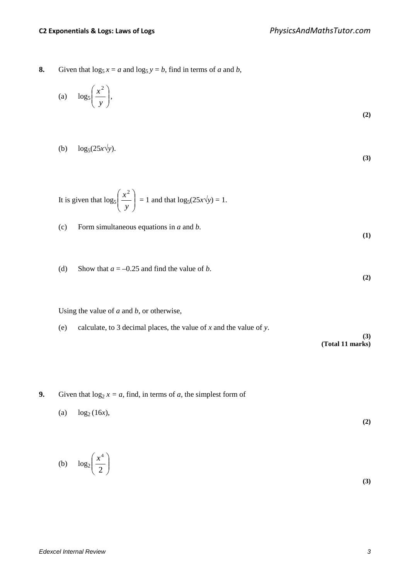**8.** Given that  $\log_5 x = a$  and  $\log_5 y = b$ , find in terms of *a* and *b*,

(a) 
$$
\log_5 \left( \frac{x^2}{y} \right)
$$
, (2)

$$
\log_5(25x\sqrt{y}).\tag{3}
$$

It is given that 
$$
\log_5\left(\frac{x^2}{y}\right) = 1
$$
 and that  $\log_5(25x\sqrt{y}) = 1$ .

(c) Form simultaneous equations in *a* and *b*.

(d) Show that  $a = -0.25$  and find the value of *b*.

Using the value of *a* and *b*, or otherwise,

- (e) calculate, to 3 decimal places, the value of *x* and the value of *y*. **(3) (Total 11 marks)**
- **9.** Given that  $\log_2 x = a$ , find, in terms of *a*, the simplest form of
	- (a)  $\log_2(16x)$ , **(2)**

$$
(b) \quad \log_2\left(\frac{x^4}{2}\right) \tag{3}
$$

**(1)**

**(2)**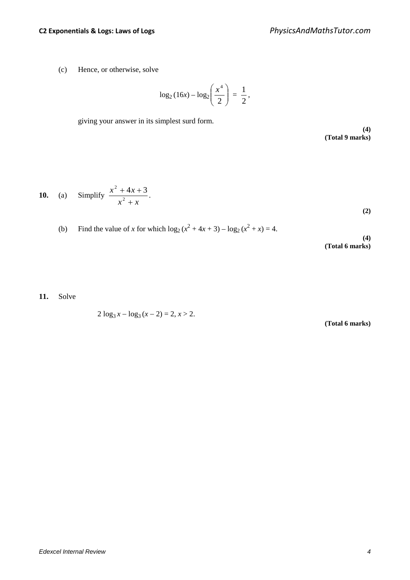(c) Hence, or otherwise, solve

$$
\log_2(16x) - \log_2\left(\frac{x^4}{2}\right) = \frac{1}{2},
$$

giving your answer in its simplest surd form.

**(4) (Total 9 marks)**

**10.** (a) Simplify 
$$
\frac{x^2 + 4x + 3}{x^2 + x}
$$
. (2)

(b) Find the value of x for which 
$$
\log_2(x^2 + 4x + 3) - \log_2(x^2 + x) = 4
$$
.

**(4) (Total 6 marks)**

**11.** Solve

 $2 \log_3 x - \log_3 (x - 2) = 2, x > 2.$ 

**(Total 6 marks)**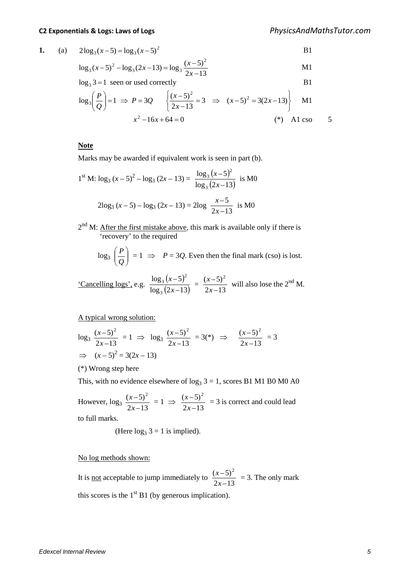$$
1.
$$

1. (a) 
$$
2\log_3(x-5) = \log_3(x-5)^2
$$
 B1

$$
\log_3(x-5)^2 - \log_3(2x-13) = \log_3\frac{(x-5)^2}{2x-13}
$$
 M1

 $\log_3 3 = 1$  seen or used correctly B1

$$
\log_3\left(\frac{P}{Q}\right) = 1 \implies P = 3Q \qquad \left\{ \frac{(x-5)^2}{2x-13} = 3 \implies (x-5)^2 = 3(2x-13) \right\} \qquad \text{M1}
$$

$$
x^2 - 16x + 64 = 0 \qquad (*) \qquad \text{A1 cso} \qquad 5
$$

#### **Note**

Marks may be awarded if equivalent work is seen in part (b).

1<sup>st</sup> M: 
$$
\log_3 (x-5)^2 - \log_3 (2x-13) = \frac{\log_3 (x-5)^2}{\log_3 (2x-13)}
$$
 is M0  
2 $\log_3 (x-5) - \log_3 (2x-13) = 2\log \frac{x-5}{2x-13}$  is M0

 $2<sup>nd</sup>$  M: After the first mistake above, this mark is available only if there is 'recovery' to the required

$$
\log_3\left(\frac{P}{Q}\right) = 1 \implies P = 3Q.
$$
 Even then the final mark (cso) is lost.

'Cancelling logs', e.g.  $\frac{\log_3(x-5)}{\log_3(x-5)}$  $\log_3(2x-13)$  $log_3(x-5)$ 3 2 3  $\frac{(x-5)^2}{2x-13} = \frac{(x-5)^2}{2x-13}$ *x*  $\frac{(x-5)^2}{(x-5)^2}$  will also lose the 2<sup>nd</sup> M.

A typical wrong solution:

$$
\log_3 \frac{(x-5)^2}{2x-13} = 1 \implies \log_3 \frac{(x-5)^2}{2x-13} = 3(*) \implies \frac{(x-5)^2}{2x-13} = 3
$$
  

$$
\implies (x-5)^2 = 3(2x-13)
$$

(\*) Wrong step here

This, with no evidence elsewhere of  $log_3 3 = 1$ , scores B1 M1 B0 M0 A0

However,  $\log_3 \frac{(x-5)^2}{2x-13}$ *x*  $\frac{x-5^2}{x^2} = 1 \Rightarrow$  $2x-13$  $(x-5)^2$ *x*  $\frac{(x-5)^2}{(x-5)^2}$  = 3 is correct and could lead to full marks.

(Here  $log_3 3 = 1$  is implied).

### No log methods shown:

It is <u>not</u> acceptable to jump immediately to  $\frac{(x-5)^2}{2x-13}$ *x*  $\frac{x-5^2}{x^2}$  = 3. The only mark this scores is the  $1<sup>st</sup> B1$  (by generous implication).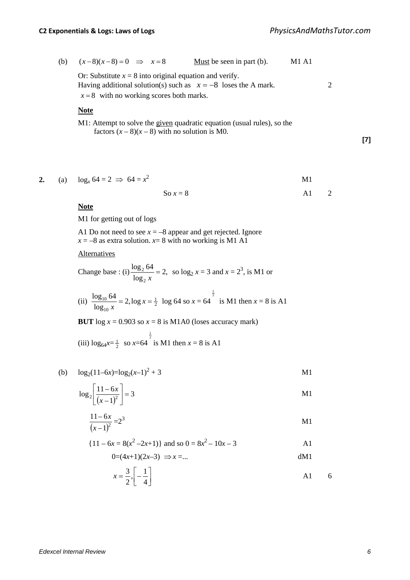(b) 
$$
(x-8)(x-8) = 0 \implies x = 8
$$
 Must be seen in part (b). M1 A1

Or: Substitute  $x = 8$  into original equation and verify. Having additional solution(s) such as  $x = -8$  loses the A mark. 2  $x = 8$  with no working scores both marks.

### **Note**

M1: Attempt to solve the given quadratic equation (usual rules), so the factors  $(x - 8)(x - 8)$  with no solution is M0.

**[7]**

**2.** (a)  $\log_{10} 64 = 2 \implies 64 = x^2$  $2 \angle M1$ 

$$
So x = 8
$$
 A1 2

#### **Note**

M1 for getting out of logs

A1 Do not need to see  $x = -8$  appear and get rejected. Ignore  $x = -8$  as extra solution.  $x = 8$  with no working is M1 A1

## Alternatives

Change base : (i) 
$$
\frac{\log_2 64}{\log_2 x} = 2
$$
, so  $\log_2 x = 3$  and  $x = 2^3$ , is M1 or

(ii) 
$$
\frac{\log_{10} 64}{\log_{10} x} = 2, \log x = \frac{1}{2} \log 64
$$
 so  $x = 64^{\frac{1}{2}}$  is M1 then  $x = 8$  is A1

**BUT** log  $x = 0.903$  so  $x = 8$  is M1A0 (loses accuracy mark)

(iii) 
$$
\log_{64} x = \frac{1}{2}
$$
 so  $x = 64^{\frac{1}{2}}$  is M1 then  $x = 8$  is A1

(b)  $\log_2(11-6x)=\log_2(x-1)^2+3$  M1

$$
\log_2\left[\frac{11-6x}{\left(x-1\right)^2}\right] = 3
$$

$$
\frac{11 - 6x}{(x - 1)^2} = 2^3
$$

$$
\{11 - 6x = 8(x^2 - 2x + 1)\} \text{ and so } 0 = 8x^2 - 10x - 3
$$

$$
x = \frac{3}{2}, \left[ -\frac{1}{4} \right]
$$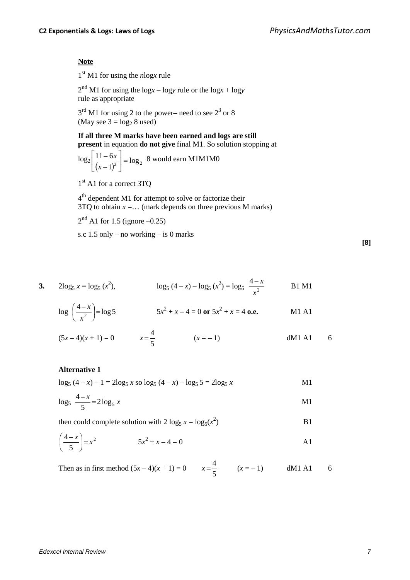## **Note**

1st M1 for using the *n*log*x* rule

 $2<sup>nd</sup>$  M1 for using the log*x* – logy rule or the log*x* + logy rule as appropriate

 $3<sup>rd</sup>$  M1 for using 2 to the power– need to see  $2<sup>3</sup>$  or 8 (May see  $3 = log_2 8$  used)

> **If all three M marks have been earned and logs are still present** in equation **do not give** final M1. So solution stopping at

$$
\log_2 \left[ \frac{11 - 6x}{(x - 1)^2} \right] = \log_2 8
$$
 would earn M1M1M0

1<sup>st</sup> A1 for a correct 3TQ

4<sup>th</sup> dependent M1 for attempt to solve or factorize their  $3TQ$  to obtain  $x = \dots$  (mark depends on three previous M marks)

 $2<sup>nd</sup>$  A1 for 1.5 (ignore –0.25)

s.c 1.5 only – no working – is 0 marks

3. 
$$
2\log_5 x = \log_5 (x^2)
$$
,  $\log_5 (4-x) - \log_5 (x^2) = \log_5 \frac{4-x}{x^2}$  B1 M1

 $\overline{4}$ 

$$
\log\left(\frac{4-x}{x^2}\right) = \log 5 \qquad 5x^2 + x - 4 = 0 \text{ or } 5x^2 + x = 4 \text{ o.e.} \qquad \text{M1 A1}
$$

$$
(5x-4)(x+1) = 0 \t x = \frac{4}{5} \t (x = -1) \t dM1 A1 \t 6
$$

### **Alternative 1**

$$
\log_5 (4 - x) - 1 = 2\log_5 x \text{ so } \log_5 (4 - x) - \log_5 5 = 2\log_5 x
$$

$$
\log_5 \frac{4-x}{5} = 2\log_5 x
$$

then could complete solution with 2 
$$
\log_5 x = \log_5(x^2)
$$
 B1

$$
\left(\frac{4-x}{5}\right) = x^2 \qquad \qquad 5x^2 + x - 4 = 0 \qquad \qquad \text{A1}
$$

Then as in first method  $(5x-4)(x+1) = 0$   $x = \frac{4}{5}$   $(x=-1)$  dM1 A1 6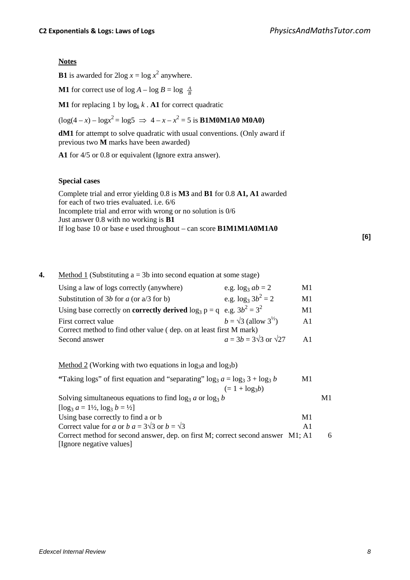# **Notes**

**B1** is awarded for  $2\log x = \log x^2$  anywhere.

**M1** for correct use of  $\log A - \log B = \log \frac{A}{B}$ 

**M1** for replacing 1 by  $\log_k k$ . **A1** for correct quadratic

 $(\log(4 - x) - \log x^2) = \log 5 \implies 4 - x - x^2 = 5$  is **B1M0M1A0 M0A0**)

**dM1** for attempt to solve quadratic with usual conventions. (Only award if previous two **M** marks have been awarded)

**A1** for 4/5 or 0.8 or equivalent (Ignore extra answer).

# **Special cases**

| Complete trial and error yielding 0.8 is <b>M3</b> and <b>B1</b> for 0.8 A1, A1 awarded |
|-----------------------------------------------------------------------------------------|
| for each of two tries evaluated. i.e. 6/6                                               |
| Incomplete trial and error with wrong or no solution is 0/6                             |
| Just answer 0.8 with no working is $B1$                                                 |
| If log base 10 or base e used throughout – can score $\text{B1M1M1A0M1A0}$              |
|                                                                                         |

**[6]**

## **4.** Method 1 (Substituting a = 3b into second equation at some stage)

| Using a law of logs correctly (anywhere)                                                 | e.g. $\log_3 ab = 2$                      | M1             |  |
|------------------------------------------------------------------------------------------|-------------------------------------------|----------------|--|
| Substitution of 3b for a (or $a/3$ for b)                                                | e.g. $\log_3 3b^2 = 2$                    | M1             |  |
| Using base correctly on <b>correctly derived</b> $\log_3 p = q \text{ e.g. } 3b^2 = 3^2$ |                                           | M1             |  |
| First correct value                                                                      | $b = \sqrt{3}$ (allow $3^{\frac{1}{2}}$ ) | A1             |  |
| Correct method to find other value (dep. on at least first M mark)                       |                                           |                |  |
| Second answer                                                                            | $a = 3b = 3\sqrt{3}$ or $\sqrt{27}$       | $\mathbf{A}$ 1 |  |
|                                                                                          |                                           |                |  |

Method 2 (Working with two equations in  $log_3a$  and  $log_3b$ )

| "Taking logs" of first equation and "separating" log <sub>3</sub> $a = \log_3 3 + \log_3 b$ |               |    |
|---------------------------------------------------------------------------------------------|---------------|----|
| $(= 1 + log_3b)$                                                                            |               |    |
| Solving simultaneous equations to find $\log_3 a$ or $\log_3 b$                             |               | M1 |
| $\lceil \log_3 a = 1\frac{1}{2}, \log_3 b = \frac{1}{2} \rceil$                             |               |    |
| Using base correctly to find a or b                                                         | M1            |    |
| Correct value for a or b $a = 3\sqrt{3}$ or $b = \sqrt{3}$                                  | $\mathsf{A}1$ |    |
| Correct method for second answer, dep. on first M; correct second answer M1; A1             |               | 6  |

[Ignore negative values]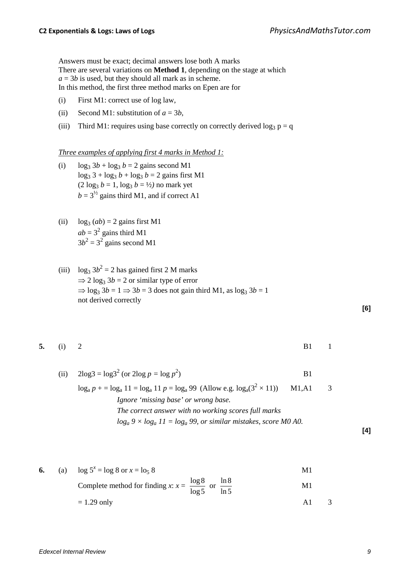Answers must be exact; decimal answers lose both A marks There are several variations on **Method 1**, depending on the stage at which  $a = 3b$  is used, but they should all mark as in scheme. In this method, the first three method marks on Epen are for

- (i) First M1: correct use of log law,
- (ii) Second M1: substitution of  $a = 3b$ ,
- (iii) Third M1: requires using base correctly on correctly derived  $\log_3 p = q$

*Three examples of applying first 4 marks in Method 1:* 

- (i)  $\log_3 3b + \log_3 b = 2$  gains second M1  $\log_3 3 + \log_3 b + \log_3 b = 2$  gains first M1  $(2 \log_3 b = 1, \log_3 b = \frac{1}{2})$  no mark yet  $b = 3^{1/2}$  gains third M1, and if correct A1
- (ii)  $\log_3(ab) = 2$  gains first M1  $ab = 3<sup>2</sup>$  gains third M1  $3b^2 = 3^2$  gains second M1
- (iii)  $\log_3 3b^2 = 2$  has gained first 2 M marks  $\Rightarrow$  2 log<sub>3</sub> 3*b* = 2 or similar type of error  $\Rightarrow$  log<sub>3</sub> 3*b* = 1  $\Rightarrow$  3*b* = 3 does not gain third M1, as log<sub>3</sub> 3*b* = 1 not derived correctly

**5.** (i) 2 B1 1

**[6]**

**[4]**

(ii)  $2\log 3 = \log 3^2$  (or  $2\log p = \log p^2$  $\vert$  B1  $\log_a p$  + =  $\log_a 11$  =  $\log_a 11$  *p* =  $\log_a 99$  (Allow e.g.  $\log_a(3^2 \times 11)$ ) M1,A1 3 *Ignore 'missing base' or wrong base. The correct answer with no working scores full marks*  $log_a 9 \times log_a 11 = log_a 99$ , or similar mistakes, score M0 A0.

6. (a) 
$$
\log 5^x = \log 8
$$
 or  $x = \log 8$   
Complete method for finding  $x: x = \frac{\log 8}{\log 5}$  or  $\frac{\ln 8}{\ln 5}$   
M1  
= 1.29 only A1 3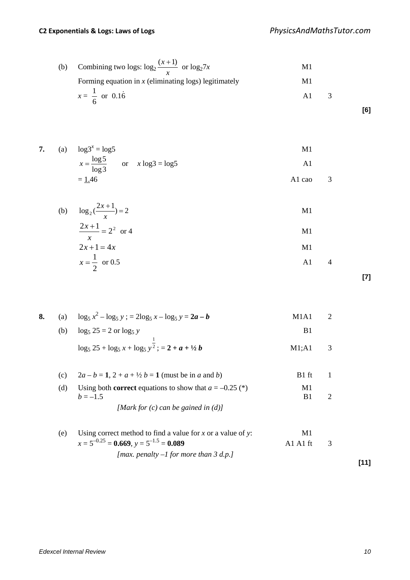(b) Combining two logs: 
$$
\log_2 \frac{(x+1)}{x}
$$
 or  $\log_2 7x$  M1  
Forming equation in *x* (eliminating logs) legitimately M1  
 $x = \frac{1}{6}$  or 0.16 A1 3

7. (a) 
$$
\log 3^{x} = \log 5
$$
  
\n $x = \frac{\log 5}{\log 3}$  or  $x \log 3 = \log 5$   
\n $= \frac{1.46}{}$  A1 ca0 3

(b) 
$$
\log_2(\frac{2x+1}{x}) = 2
$$
  
\n $\frac{2x+1}{x} = 2^2$  or 4  
\n $2x+1 = 4x$   
\n $x = \frac{1}{2}$  or 0.5  
\nA1 4

**[7]**

**[6]**

| 8. | (a) | $\log_5 x^2 - \log_5 y$ ; = $2\log_5 x - \log_5 y = 2a - b$                    | M1A1                 | 2              |  |
|----|-----|--------------------------------------------------------------------------------|----------------------|----------------|--|
|    | (b) | $\log_5 25 = 2$ or $\log_5 y$                                                  | B <sub>1</sub>       |                |  |
|    |     | $\log_5 25 + \log_5 x + \log_5 y^{\frac{1}{2}}$ ; = 2 + a + ½ b                | M1; A1               | 3              |  |
|    | (c) | $2a - b = 1$ , $2 + a + \frac{1}{2}b = 1$ (must be in a and b)                 | B <sub>1</sub> ft    | 1              |  |
|    | (d) | Using both <b>correct</b> equations to show that $a = -0.25$ (*)<br>$h = -1.5$ | M1<br>B <sub>1</sub> | $\overline{2}$ |  |
|    |     | [Mark for $(c)$ can be gained in $(d)$ ]                                       |                      |                |  |
|    | (e) | Using correct method to find a value for x or a value of y:                    | M1                   |                |  |
|    |     | $x = 5^{-0.25} = 0.669$ , $y = 5^{-1.5} = 0.089$                               | A1 A1 ft             | 3              |  |
|    |     | [max. penalty $-1$ for more than 3 d.p.]                                       |                      |                |  |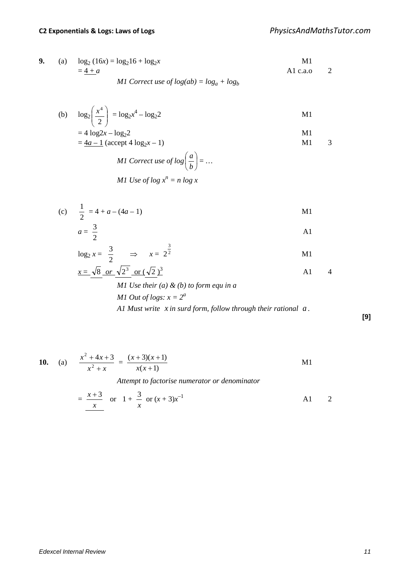9. (a) 
$$
log_2(16x) = log_2 16 + log_2 x
$$
  
\t\t\t $= 4 + a$   
\t\t\t $M1$  Correct use of  $log(ab) = log_a + log_b$   
\t\t\t $M1$   
\t\t\t $M1$   
\t\t\t $log_2(16x) = log_2 16 + log_2 x$   
\t\t\t $M1$   
\t\t\t $log_b$ 

(b) 
$$
\log_2\left(\frac{x^4}{2}\right) = \log_2 x^4 - \log_2 2
$$
 M1

$$
= 4 \log 2x - \log_2 2
$$
  
=  $\frac{4a - 1}{4a}$  (accept 4 log<sub>2</sub>x - 1)

*M1 Correct use of log*
$$
\left(\frac{a}{b}\right) = ...
$$
  
*M1 Use of log*  $x^n = n \log x$ 

(c) 
$$
\frac{1}{2} = 4 + a - (4a - 1)
$$
 M1

$$
a = \frac{3}{2}
$$

$$
\log_2 x = \frac{3}{2} \qquad \Rightarrow \qquad x = 2^{\frac{3}{2}} \qquad \qquad \text{M1}
$$

$$
\frac{x = \sqrt{8} \text{ or } \sqrt{2^3} \text{ or } (\sqrt{2})^3}{M1 \text{ Use their } (a) \& (b) \text{ to form equ in } a}
$$

*M1 Out of logs:* 
$$
x = 2^a
$$
  
*M1 Out of logs:*  $x = 2^a$   
*A1 Must write x in surd form, follow through their rational a*.

**[9]**

**10.** (a) 
$$
\frac{x^2 + 4x + 3}{x^2 + x} = \frac{(x+3)(x+1)}{x(x+1)}
$$
   
Attempt to factorise numerator or denominator

$$
= \frac{x+3}{x} \quad \text{or} \quad 1 + \frac{3}{x} \quad \text{or} \quad (x+3)x^{-1}
$$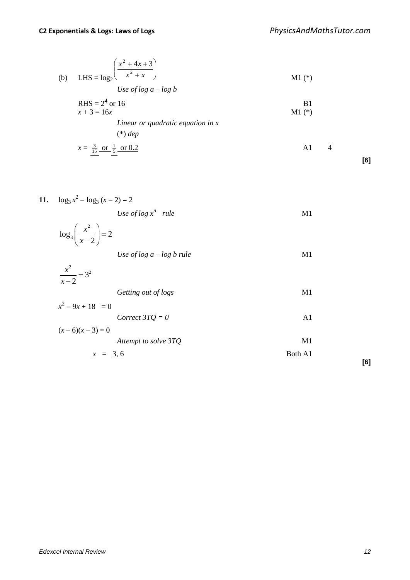(b) LHS = 
$$
\log_2 \left( \frac{x^2 + 4x + 3}{x^2 + x} \right)
$$
  
\nUse of log  $a - \log b$   
\nRHS =  $2^4$  or 16  
\n $x + 3 = 16x$   
\nLinear or quadratic equation in x  
\n(\*) *dep*

$$
x = \frac{3}{15} \text{ or } \frac{1}{5} \text{ or } 0.2
$$

$$
[6]
$$

11. 
$$
\log_3 x^2 - \log_3 (x - 2) = 2
$$

Use of 
$$
\log x^n
$$
 rule  $M1$ 

$$
\log_3\left(\frac{x^2}{x-2}\right) = 2
$$
  
Use of log a - log b rule  
M1

$$
\frac{x^2}{x-2} = 3^2
$$

Getting out of logs M1

$$
x^{2}-9x+18 = 0
$$
  
Correct 3TQ = 0  

$$
(x-6)(x-3) = 0
$$

| <i>Attempt to solve 3TQ</i> | M1      |
|-----------------------------|---------|
| $x = 3, 6$                  | Both A1 |

**[6]**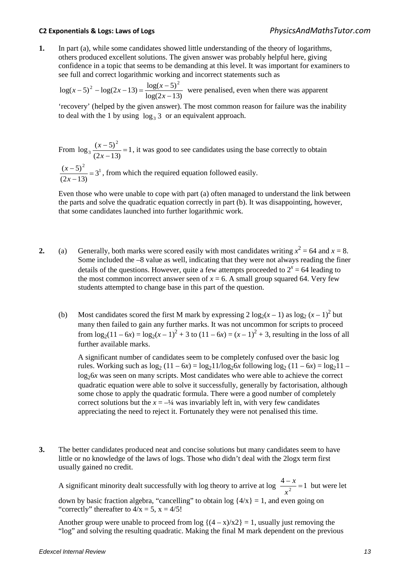**1.** In part (a), while some candidates showed little understanding of the theory of logarithms, others produced excellent solutions. The given answer was probably helpful here, giving confidence in a topic that seems to be demanding at this level. It was important for examiners to see full and correct logarithmic working and incorrect statements such as

 $log(2x-13)$  $\log(x-5)^2 - \log(2x-13) = \frac{\log(x-5)^2}{\log(2x-13)}$  $(x-5)^2 - \log(2x-13) = \frac{\log(x-5)^2}{\log(2x-13)}$  were penalised, even when there was apparent

'recovery' (helped by the given answer). The most common reason for failure was the inability to deal with the 1 by using  $log_3 3$  or an equivalent approach.

From  $\log_3 \frac{(x-3)}{(x-1)} = 1$  $(2x-13)$  $\log_3 \frac{(x-5)^2}{2}$  $\frac{(x-5)^2}{(2x-13)} =$ *x*  $\left(\frac{x-5}{x}\right)^2 = 1$ , it was good to see candidates using the base correctly to obtain

<sup>2</sup>  $\overline{2}$ <sup>1</sup> 3  $\frac{(x-5)^2}{(2x-13)} =$ *x*  $\left(\frac{x-5}{x}\right)^2 = 3^1$ , from which the required equation followed easily.

 Even those who were unable to cope with part (a) often managed to understand the link between the parts and solve the quadratic equation correctly in part (b). It was disappointing, however, that some candidates launched into further logarithmic work.

- **2.** (a) Generally, both marks were scored easily with most candidates writing  $x^2 = 64$  and  $x = 8$ . Some included the –8 value as well, indicating that they were not always reading the finer details of the questions. However, quite a few attempts proceeded to  $2^x = 64$  leading to the most common incorrect answer seen of  $x = 6$ . A small group squared 64. Very few students attempted to change base in this part of the question.
	- (b) Most candidates scored the first M mark by expressing  $2 \log_2(x-1)$  as  $\log_2(x-1)^2$  but many then failed to gain any further marks. It was not uncommon for scripts to proceed from  $\log_2(11 - 6x) = \log_2(x - 1)^2 + 3$  to  $(11 - 6x) = (x - 1)^2 + 3$ , resulting in the loss of all further available marks.

 A significant number of candidates seem to be completely confused over the basic log rules. Working such as  $log_2 (11 - 6x) = log_2 11/log_2 6x$  following  $log_2 (11 - 6x) = log_2 11$  $log<sub>2</sub>6x$  was seen on many scripts. Most candidates who were able to achieve the correct quadratic equation were able to solve it successfully, generally by factorisation, although some chose to apply the quadratic formula. There were a good number of completely correct solutions but the  $x = -\frac{1}{4}$  was invariably left in, with very few candidates appreciating the need to reject it. Fortunately they were not penalised this time.

**3.** The better candidates produced neat and concise solutions but many candidates seem to have little or no knowledge of the laws of logs. Those who didn't deal with the 2logx term first usually gained no credit.

A significant minority dealt successfully with log theory to arrive at log  $\frac{4-x}{x^2} = 1$  but were let

down by basic fraction algebra, "cancelling" to obtain  $log {4/x} = 1$ , and even going on "correctly" thereafter to  $4/x = 5$ ,  $x = 4/5!$ 

Another group were unable to proceed from  $\log \left\{ \frac{4 - x}{x^2} \right\} = 1$ , usually just removing the "log" and solving the resulting quadratic. Making the final M mark dependent on the previous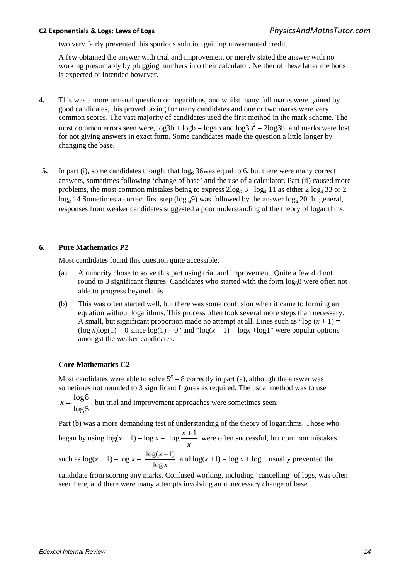two very fairly prevented this spurious solution gaining unwarranted credit.

A few obtained the answer with trial and improvement or merely stated the answer with no working presumably by plugging numbers into their calculator. Neither of these latter methods is expected or intended however.

- **4.** This was a more unusual question on logarithms, and whilst many full marks were gained by good candidates, this proved taxing for many candidates and one or two marks were very common scores. The vast majority of candidates used the first method in the mark scheme. The most common errors seen were,  $log3b + logb = log4b$  and  $log3b^2 = 2log3b$ , and marks were lost for not giving answers in exact form. Some candidates made the question a little longer by changing the base.
- **5.** In part (i), some candidates thought that  $\log_6 36$  was equal to 6, but there were many correct answers, sometimes following 'change of base' and the use of a calculator. Part (ii) caused more problems, the most common mistakes being to express  $2\log_a 3 + \log_a 11$  as either  $2\log_a 33$  or  $2$ log*a* 14 Sometimes a correct first step (log *a*9) was followed by the answer log*a* 20. In general, responses from weaker candidates suggested a poor understanding of the theory of logarithms.

### **6. Pure Mathematics P2**

Most candidates found this question quite accessible.

- (a) A minority chose to solve this part using trial and improvement. Quite a few did not round to 3 significant figures. Candidates who started with the form  $\log_5 8$  were often not able to progress beyond this.
- (b) This was often started well, but there was some confusion when it came to forming an equation without logarithms. This process often took several more steps than necessary. A small, but significant proportion made no attempt at all. Lines such as "log  $(x + 1) =$  $(\log x) \log(1) = 0$  since  $\log(1) = 0$ " and " $\log(x + 1) = \log x + \log 1$ " were popular options amongst the weaker candidates.

### **Core Mathematics C2**

Most candidates were able to solve  $5^x = 8$  correctly in part (a), although the answer was sometimes not rounded to 3 significant figures as required. The usual method was to use

5log  $x = \frac{\log 8}{1}$ , but trial and improvement approaches were sometimes seen.

Part (b) was a more demanding test of understanding of the theory of logarithms. Those who

began by using  $\log(x + 1) - \log x = \log \frac{x}{x}$  $log \frac{x+1}{x}$  were often successful, but common mistakes

such as  $\log(x+1) - \log x = \frac{\log(x+1)}{\log x}$ log  $\frac{\log(x+1)}{1}$  and  $\log(x+1) = \log x + \log 1$  usually prevented the

candidate from scoring any marks. Confused working, including 'cancelling' of logs, was often seen here, and there were many attempts involving an unnecessary change of base.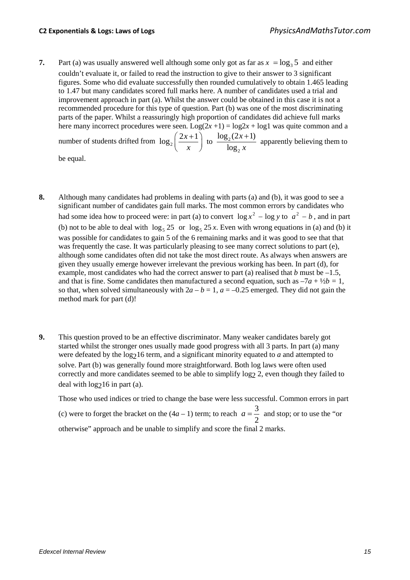**7.** Part (a) was usually answered well although some only got as far as  $x = \log_3 5$  and either couldn't evaluate it, or failed to read the instruction to give to their answer to 3 significant figures. Some who did evaluate successfully then rounded cumulatively to obtain 1.465 leading to 1.47 but many candidates scored full marks here. A number of candidates used a trial and improvement approach in part (a). Whilst the answer could be obtained in this case it is not a recommended procedure for this type of question. Part (b) was one of the most discriminating parts of the paper. Whilst a reassuringly high proportion of candidates did achieve full marks here many incorrect procedures were seen.  $Log(2x + 1) = log2x + log1$  was quite common and a number of students drifted from  $\log_2 \left( \frac{2x+1}{x} \right)$  $\left(\frac{2x+1}{x}\right)$  to  $\frac{\log_2(2)}{\log_2}$  $\log_2(2x+1)$ log *x x*  $+1$  apparently believing them to

be equal.

- **8.** Although many candidates had problems in dealing with parts (a) and (b), it was good to see a significant number of candidates gain full marks. The most common errors by candidates who had some idea how to proceed were: in part (a) to convert  $\log x^2 - \log y$  to  $a^2 - b$ , and in part (b) not to be able to deal with  $\log_5 25$  or  $\log_5 25x$ . Even with wrong equations in (a) and (b) it was possible for candidates to gain 5 of the 6 remaining marks and it was good to see that that was frequently the case. It was particularly pleasing to see many correct solutions to part (e), although some candidates often did not take the most direct route. As always when answers are given they usually emerge however irrelevant the previous working has been. In part (d), for example, most candidates who had the correct answer to part (a) realised that  $b$  must be  $-1.5$ , and that is fine. Some candidates then manufactured a second equation, such as  $-7a + \frac{1}{2}b = 1$ , so that, when solved simultaneously with  $2a - b = 1$ ,  $a = -0.25$  emerged. They did not gain the method mark for part (d)!
- **9.** This question proved to be an effective discriminator. Many weaker candidates barely got started whilst the stronger ones usually made good progress with all 3 parts. In part (a) many were defeated by the  $log_216$  term, and a significant minority equated to *a* and attempted to solve. Part (b) was generally found more straightforward. Both log laws were often used correctly and more candidates seemed to be able to simplify  $\log_2 2$ , even though they failed to deal with  $log<sub>2</sub>16$  in part (a).

Those who used indices or tried to change the base were less successful. Common errors in part (c) were to forget the bracket on the  $(4a - 1)$  term; to reach  $a = \frac{3}{3}$ 2  $a = \frac{3}{2}$  and stop; or to use the "or" otherwise" approach and be unable to simplify and score the final 2 marks.